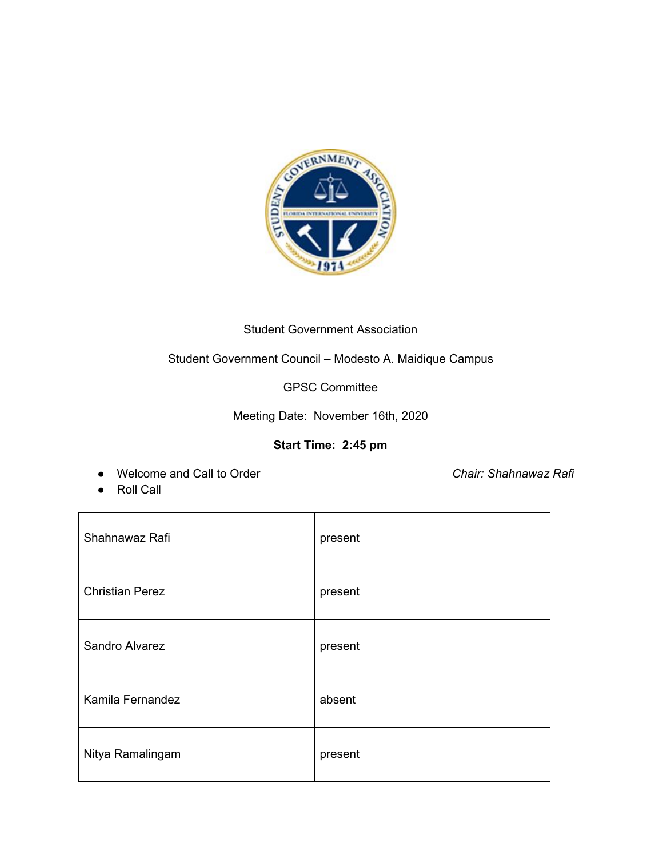

## Student Government Association

# Student Government Council – Modesto A. Maidique Campus

GPSC Committee

Meeting Date: November 16th, 2020

## **Start Time: 2:45 pm**

● Welcome and Call to Order *Chair: Shahnawaz Rafi*

● Roll Call

| Shahnawaz Rafi         | present |
|------------------------|---------|
| <b>Christian Perez</b> | present |
| Sandro Alvarez         | present |
| Kamila Fernandez       | absent  |
| Nitya Ramalingam       | present |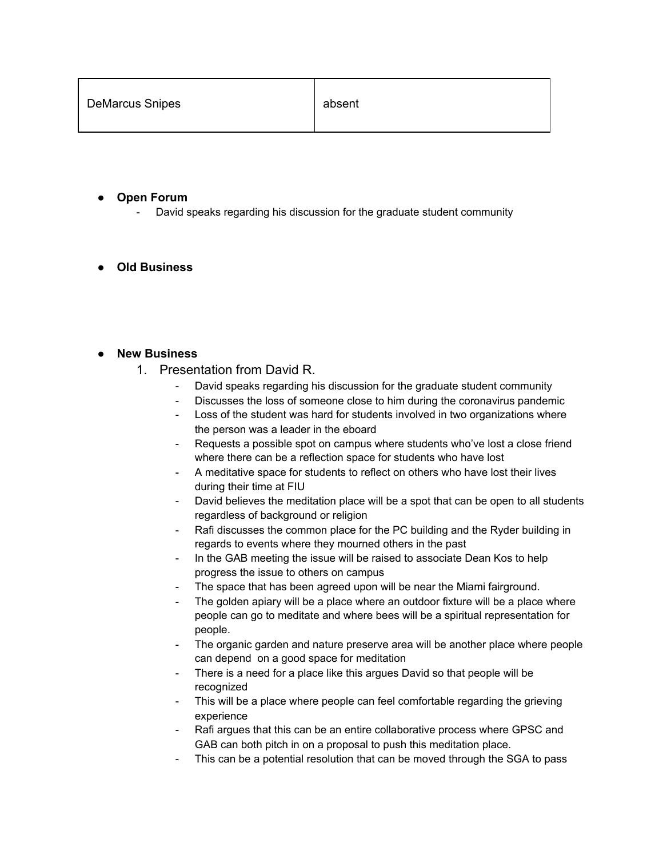#### **● Open Forum**

David speaks regarding his discussion for the graduate student community

### **● Old Business**

#### **● New Business**

- 1. Presentation from David R.
	- David speaks regarding his discussion for the graduate student community
	- Discusses the loss of someone close to him during the coronavirus pandemic
	- Loss of the student was hard for students involved in two organizations where the person was a leader in the eboard
	- Requests a possible spot on campus where students who've lost a close friend where there can be a reflection space for students who have lost
	- A meditative space for students to reflect on others who have lost their lives during their time at FIU
	- David believes the meditation place will be a spot that can be open to all students regardless of background or religion
	- Rafi discusses the common place for the PC building and the Ryder building in regards to events where they mourned others in the past
	- In the GAB meeting the issue will be raised to associate Dean Kos to help progress the issue to others on campus
	- The space that has been agreed upon will be near the Miami fairground.
	- The golden apiary will be a place where an outdoor fixture will be a place where people can go to meditate and where bees will be a spiritual representation for people.
	- The organic garden and nature preserve area will be another place where people can depend on a good space for meditation
	- There is a need for a place like this argues David so that people will be recognized
	- This will be a place where people can feel comfortable regarding the grieving experience
	- Rafi argues that this can be an entire collaborative process where GPSC and GAB can both pitch in on a proposal to push this meditation place.
	- This can be a potential resolution that can be moved through the SGA to pass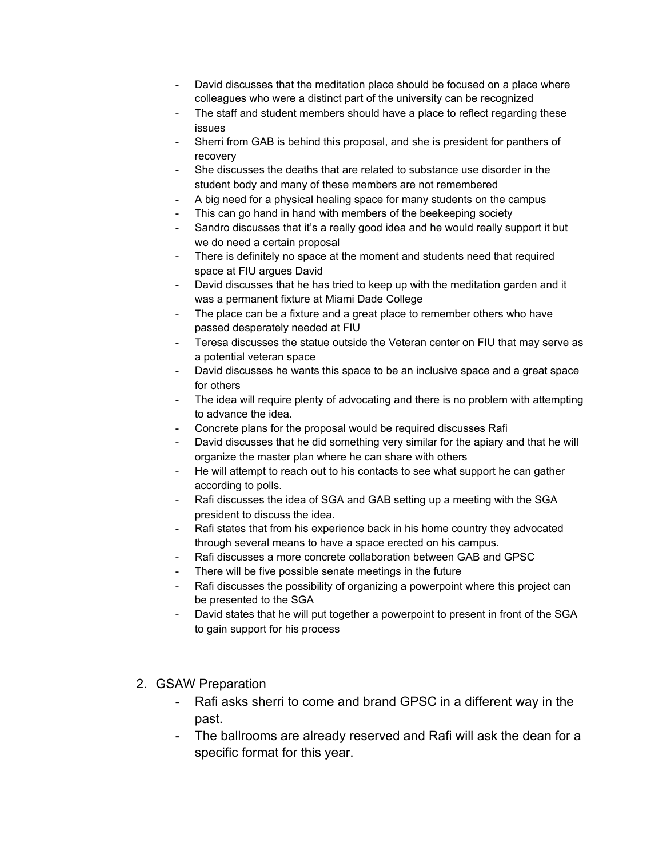- David discusses that the meditation place should be focused on a place where colleagues who were a distinct part of the university can be recognized
- The staff and student members should have a place to reflect regarding these issues
- Sherri from GAB is behind this proposal, and she is president for panthers of recovery
- She discusses the deaths that are related to substance use disorder in the student body and many of these members are not remembered
- A big need for a physical healing space for many students on the campus
- This can go hand in hand with members of the beekeeping society
- Sandro discusses that it's a really good idea and he would really support it but we do need a certain proposal
- There is definitely no space at the moment and students need that required space at FIU argues David
- David discusses that he has tried to keep up with the meditation garden and it was a permanent fixture at Miami Dade College
- The place can be a fixture and a great place to remember others who have passed desperately needed at FIU
- Teresa discusses the statue outside the Veteran center on FIU that may serve as a potential veteran space
- David discusses he wants this space to be an inclusive space and a great space for others
- The idea will require plenty of advocating and there is no problem with attempting to advance the idea.
- Concrete plans for the proposal would be required discusses Rafi
- David discusses that he did something very similar for the apiary and that he will organize the master plan where he can share with others
- He will attempt to reach out to his contacts to see what support he can gather according to polls.
- Rafi discusses the idea of SGA and GAB setting up a meeting with the SGA president to discuss the idea.
- Rafi states that from his experience back in his home country they advocated through several means to have a space erected on his campus.
- Rafi discusses a more concrete collaboration between GAB and GPSC
- There will be five possible senate meetings in the future
- Rafi discusses the possibility of organizing a powerpoint where this project can be presented to the SGA
- David states that he will put together a powerpoint to present in front of the SGA to gain support for his process
- 2. GSAW Preparation
	- Rafi asks sherri to come and brand GPSC in a different way in the past.
	- The ballrooms are already reserved and Rafi will ask the dean for a specific format for this year.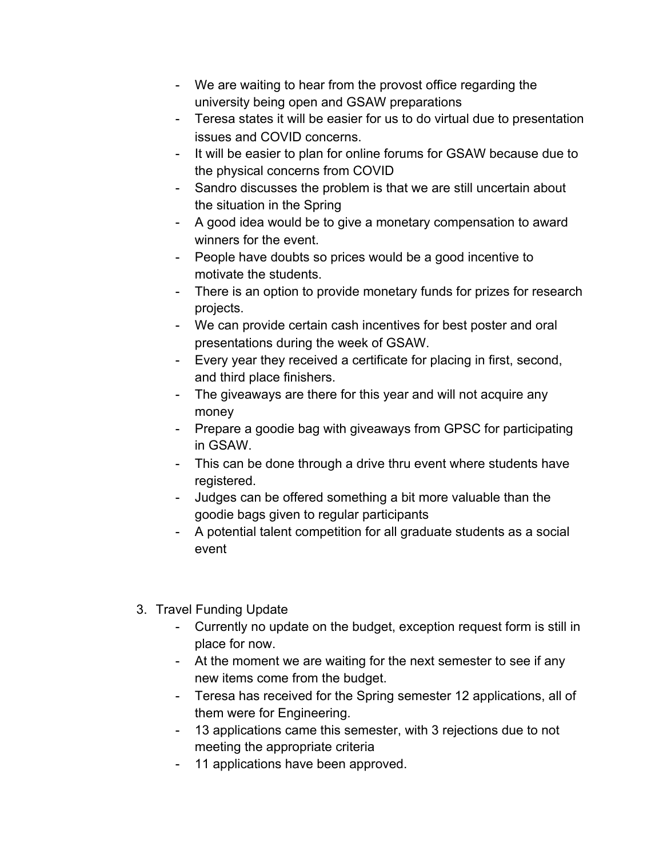- We are waiting to hear from the provost office regarding the university being open and GSAW preparations
- Teresa states it will be easier for us to do virtual due to presentation issues and COVID concerns.
- It will be easier to plan for online forums for GSAW because due to the physical concerns from COVID
- Sandro discusses the problem is that we are still uncertain about the situation in the Spring
- A good idea would be to give a monetary compensation to award winners for the event.
- People have doubts so prices would be a good incentive to motivate the students.
- There is an option to provide monetary funds for prizes for research projects.
- We can provide certain cash incentives for best poster and oral presentations during the week of GSAW.
- Every year they received a certificate for placing in first, second, and third place finishers.
- The giveaways are there for this year and will not acquire any money
- Prepare a goodie bag with giveaways from GPSC for participating in GSAW.
- This can be done through a drive thru event where students have registered.
- Judges can be offered something a bit more valuable than the goodie bags given to regular participants
- A potential talent competition for all graduate students as a social event
- 3. Travel Funding Update
	- Currently no update on the budget, exception request form is still in place for now.
	- At the moment we are waiting for the next semester to see if any new items come from the budget.
	- Teresa has received for the Spring semester 12 applications, all of them were for Engineering.
	- 13 applications came this semester, with 3 rejections due to not meeting the appropriate criteria
	- 11 applications have been approved.